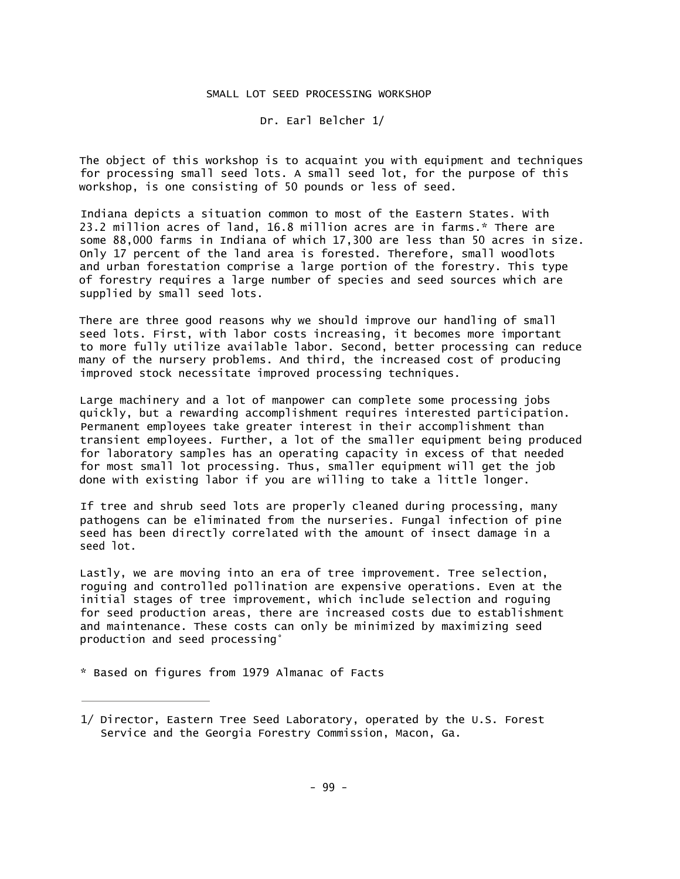## SMALL LOT SEED PROCESSING WORKSHOP

Dr. Earl Belcher 1/

The object of this workshop is to acquaint you with equipment and techniques for processing small seed lots. A small seed lot, for the purpose of this workshop, is one consisting of 50 pounds or less of seed.

Indiana depicts a situation common to most of the Eastern States. With 23.2 million acres of land, 16.8 million acres are in farms.\* There are some 88,000 farms in Indiana of which 17,300 are less than 50 acres in size. Only 17 percent of the land area is forested. Therefore, small woodlots and urban forestation comprise a large portion of the forestry. This type of forestry requires a large number of species and seed sources which are supplied by small seed lots.

There are three good reasons why we should improve our handling of small seed lots. First, with labor costs increasing, it becomes more important to more fully utilize available labor. Second, better processing can reduce many of the nursery problems. And third, the increased cost of producing improved stock necessitate improved processing techniques.

Large machinery and a lot of manpower can complete some processing jobs quickly, but a rewarding accomplishment requires interested participation. Permanent employees take greater interest in their accomplishment than transient employees. Further, a lot of the smaller equipment being produced for laboratory samples has an operating capacity in excess of that needed for most small lot processing. Thus, smaller equipment will get the job done with existing labor if you are willing to take a little longer.

If tree and shrub seed lots are properly cleaned during processing, many pathogens can be eliminated from the nurseries. Fungal infection of pine seed has been directly correlated with the amount of insect damage in a seed lot.

Lastly, we are moving into an era of tree improvement. Tree selection, roguing and controlled pollination are expensive operations. Even at the initial stages of tree improvement, which include selection and roguing for seed production areas, there are increased costs due to establishment and maintenance. These costs can only be minimized by maximizing seed production and seed processing°

\* Based on figures from 1979 Almanac of Facts

<sup>1/</sup> Director, Eastern Tree Seed Laboratory, operated by the U.S. Forest Service and the Georgia Forestry Commission, Macon, Ga.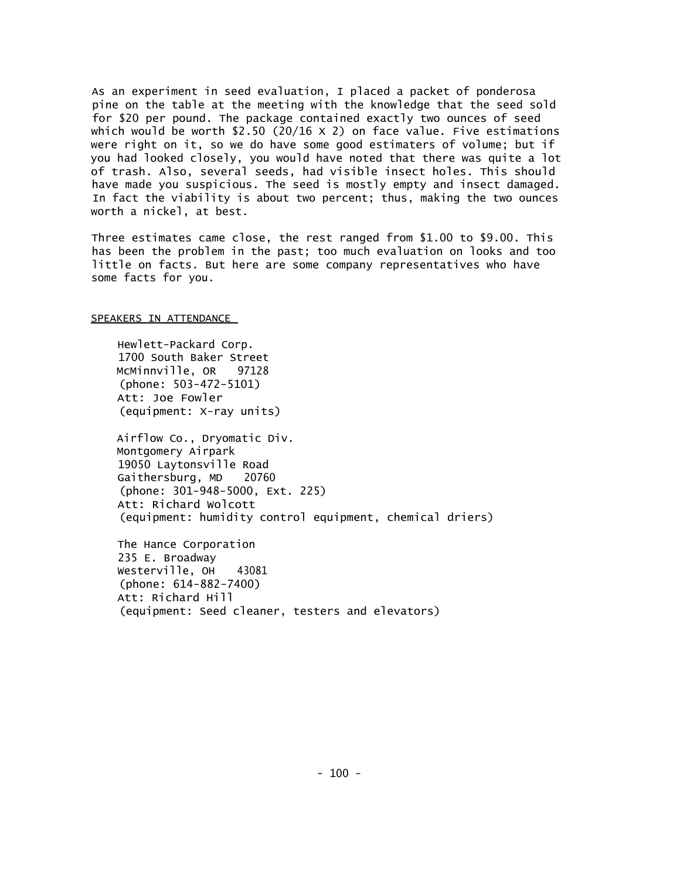As an experiment in seed evaluation, I placed a packet of ponderosa pine on the table at the meeting with the knowledge that the seed sold for \$20 per pound. The package contained exactly two ounces of seed which would be worth \$2.50 (20/16 X 2) on face value. Five estimations were right on it, so we do have some good estimaters of volume; but if you had looked closely, you would have noted that there was quite a lot of trash. Also, several seeds, had visible insect holes. This should have made you suspicious. The seed is mostly empty and insect damaged. In fact the viability is about two percent; thus, making the two ounces worth a nickel, at best.

Three estimates came close, the rest ranged from \$1.00 to \$9.00. This has been the problem in the past; too much evaluation on looks and too little on facts. But here are some company representatives who have some facts for you.

## SPEAKERS IN ATTENDANCE

Hewlett-Packard Corp. 1700 South Baker Street McMinnville, OR 97128 (phone: 503-472-5101) Att: Joe Fowler (equipment: X-ray units)

Airflow Co., Dryomatic Div. Montgomery Airpark 19050 Laytonsville Road Gaithersburg, MD 20760 (phone: 301-948-5000, Ext. 225) Att: Richard Wolcott (equipment: humidity control equipment, chemical driers)

The Hance Corporation 235 E. Broadway Westerville, OH 43081 (phone: 614-882-7400) Att: Richard Hill (equipment: Seed cleaner, testers and elevators)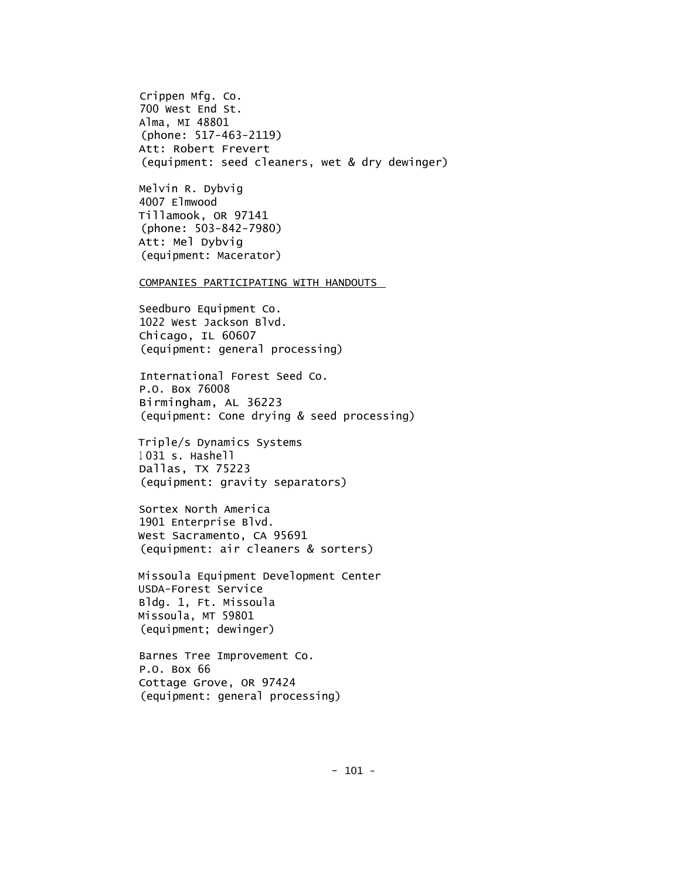Crippen Mfg. Co. 700 West End St. Alma, MI 48801 (phone: 517-463-2119) Att: Robert Frevert (equipment: seed cleaners, wet & dry dewinger)

Melvin R. Dybvig 4007 Elmwood Tillamook, OR 97141 (phone: 503-842-7980) Att: Mel Dybvig (equipment: Macerator)

COMPANIES PARTICIPATING WITH HANDOUTS

Seedburo Equipment Co. 1022 West Jackson Blvd. Chicago, IL 60607 (equipment: general processing)

International Forest Seed Co. P.O. Box 76008 Birmingham, AL 36223 (equipment: Cone drying & seed processing)

Triple/s Dynamics Systems <sup>1</sup> 031 s. Hashell Dallas, TX 75223 (equipment: gravity separators)

Sortex North America 1901 Enterprise Blvd. West Sacramento, CA 95691 (equipment: air cleaners & sorters)

Missoula Equipment Development Center USDA-Forest Service Bldg. 1, Ft. Missoula Missoula, MT 59801 (equipment; dewinger)

Barnes Tree Improvement Co. P.O. Box 66 Cottage Grove, OR 97424 (equipment: general processing)